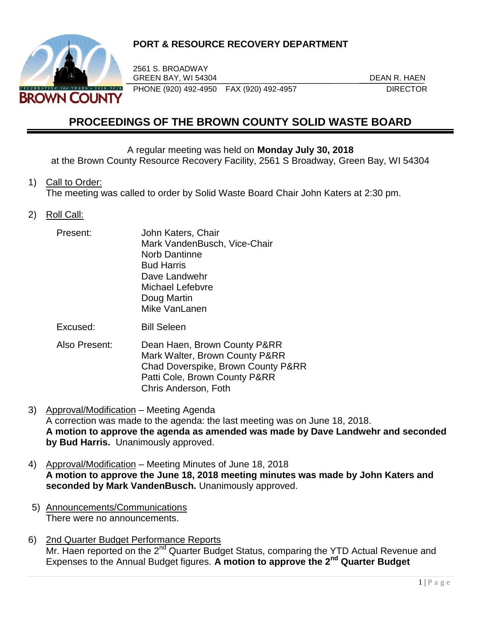

## **PORT & RESOURCE RECOVERY DEPARTMENT**

2561 S. BROADWAY GREEN BAY, WI 54304 DEAN R. HAEN PHONE (920) 492-4950 FAX (920) 492-4957 DIRECTOR

# **PROCEEDINGS OF THE BROWN COUNTY SOLID WASTE BOARD**

#### A regular meeting was held on **Monday July 30, 2018**

at the Brown County Resource Recovery Facility, 2561 S Broadway, Green Bay, WI 54304

#### 1) Call to Order:

The meeting was called to order by Solid Waste Board Chair John Katers at 2:30 pm.

#### 2) Roll Call:

| Present: | John Katers, Chair           |
|----------|------------------------------|
|          | Mark VandenBusch, Vice-Chair |
|          | <b>Norb Dantinne</b>         |
|          | <b>Bud Harris</b>            |
|          | Dave Landwehr                |
|          | Michael Lefebvre             |
|          | Doug Martin                  |
|          | Mike VanLanen                |
|          |                              |

Excused: Bill Seleen

- Also Present: Dean Haen, Brown County P&RR Mark Walter, Brown County P&RR Chad Doverspike, Brown County P&RR Patti Cole, Brown County P&RR Chris Anderson, Foth
- 3) Approval/Modification Meeting Agenda A correction was made to the agenda: the last meeting was on June 18, 2018. **A motion to approve the agenda as amended was made by Dave Landwehr and seconded by Bud Harris.** Unanimously approved.
- 4) Approval/Modification Meeting Minutes of June 18, 2018 **A motion to approve the June 18, 2018 meeting minutes was made by John Katers and seconded by Mark VandenBusch.** Unanimously approved.
- 5) Announcements/Communications There were no announcements.
- 6) 2nd Quarter Budget Performance Reports Mr. Haen reported on the 2<sup>nd</sup> Quarter Budget Status, comparing the YTD Actual Revenue and Expenses to the Annual Budget figures. **A motion to approve the 2nd Quarter Budget**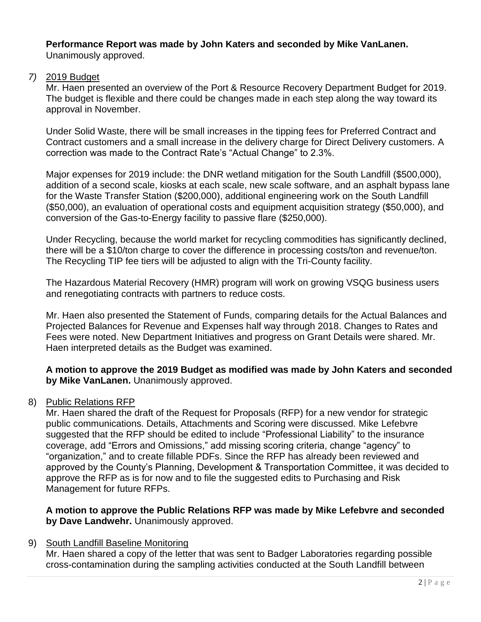#### **Performance Report was made by John Katers and seconded by Mike VanLanen.** Unanimously approved.

## *7)* 2019 Budget

Mr. Haen presented an overview of the Port & Resource Recovery Department Budget for 2019. The budget is flexible and there could be changes made in each step along the way toward its approval in November.

Under Solid Waste, there will be small increases in the tipping fees for Preferred Contract and Contract customers and a small increase in the delivery charge for Direct Delivery customers. A correction was made to the Contract Rate's "Actual Change" to 2.3%.

Major expenses for 2019 include: the DNR wetland mitigation for the South Landfill (\$500,000), addition of a second scale, kiosks at each scale, new scale software, and an asphalt bypass lane for the Waste Transfer Station (\$200,000), additional engineering work on the South Landfill (\$50,000), an evaluation of operational costs and equipment acquisition strategy (\$50,000), and conversion of the Gas-to-Energy facility to passive flare (\$250,000).

Under Recycling, because the world market for recycling commodities has significantly declined, there will be a \$10/ton charge to cover the difference in processing costs/ton and revenue/ton. The Recycling TIP fee tiers will be adjusted to align with the Tri-County facility.

The Hazardous Material Recovery (HMR) program will work on growing VSQG business users and renegotiating contracts with partners to reduce costs.

Mr. Haen also presented the Statement of Funds, comparing details for the Actual Balances and Projected Balances for Revenue and Expenses half way through 2018. Changes to Rates and Fees were noted. New Department Initiatives and progress on Grant Details were shared. Mr. Haen interpreted details as the Budget was examined.

**A motion to approve the 2019 Budget as modified was made by John Katers and seconded by Mike VanLanen.** Unanimously approved.

## 8) Public Relations RFP

Mr. Haen shared the draft of the Request for Proposals (RFP) for a new vendor for strategic public communications. Details, Attachments and Scoring were discussed. Mike Lefebvre suggested that the RFP should be edited to include "Professional Liability" to the insurance coverage, add "Errors and Omissions," add missing scoring criteria, change "agency" to "organization," and to create fillable PDFs. Since the RFP has already been reviewed and approved by the County's Planning, Development & Transportation Committee, it was decided to approve the RFP as is for now and to file the suggested edits to Purchasing and Risk Management for future RFPs.

#### **A motion to approve the Public Relations RFP was made by Mike Lefebvre and seconded by Dave Landwehr.** Unanimously approved.

## 9) South Landfill Baseline Monitoring

Mr. Haen shared a copy of the letter that was sent to Badger Laboratories regarding possible cross-contamination during the sampling activities conducted at the South Landfill between